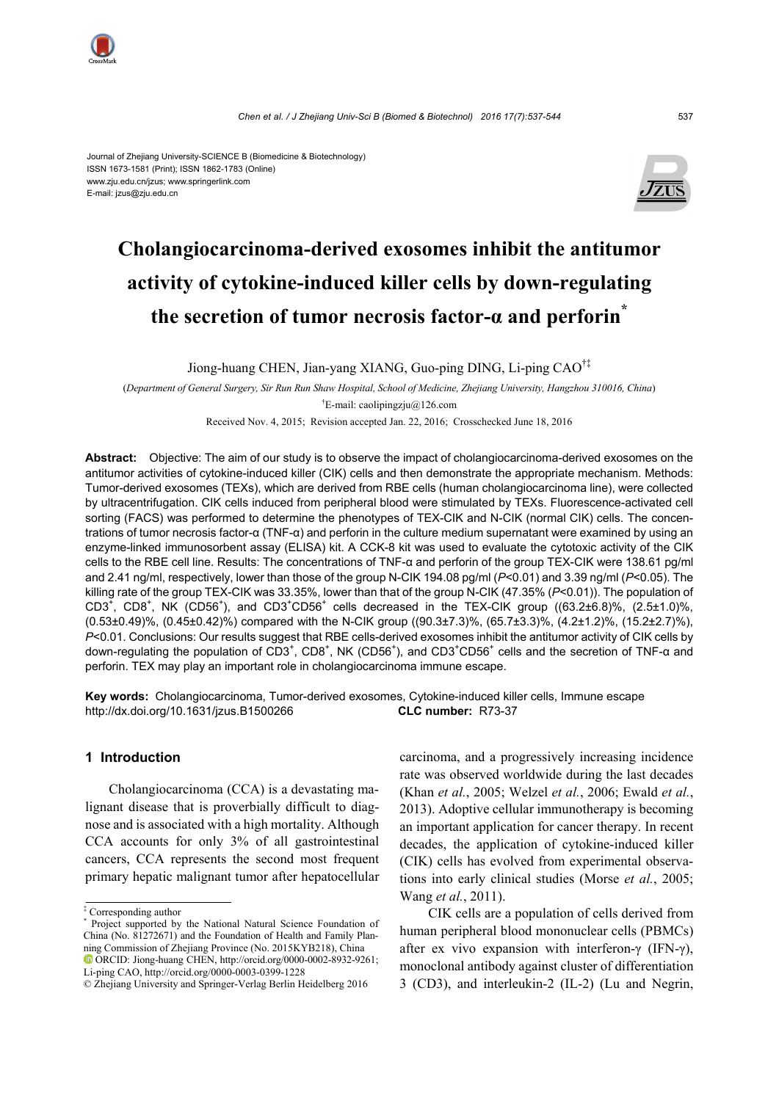

#### Journal of Zhejiang University-SCIENCE B (Biomedicine & Biotechnology) ISSN 1673-1581 (Print); ISSN 1862-1783 (Online) www.zju.edu.cn/jzus; www.springerlink.com E-mail: jzus@zju.edu.cn



# **Cholangiocarcinoma-derived exosomes inhibit the antitumor activity of cytokine-induced killer cells by down-regulating the secretion of tumor necrosis factor-α and perforin\***

Jiong-huang CHEN, Jian-yang XIANG, Guo-ping DING, Li-ping CAO†‡

(*Department of General Surgery, Sir Run Run Shaw Hospital, School of Medicine, Zhejiang University, Hangzhou 310016, China*) † E-mail: caolipingzju@126.com

Received Nov. 4, 2015; Revision accepted Jan. 22, 2016; Crosschecked June 18, 2016

**Abstract:** Objective: The aim of our study is to observe the impact of cholangiocarcinoma-derived exosomes on the antitumor activities of cytokine-induced killer (CIK) cells and then demonstrate the appropriate mechanism. Methods: Tumor-derived exosomes (TEXs), which are derived from RBE cells (human cholangiocarcinoma line), were collected by ultracentrifugation. CIK cells induced from peripheral blood were stimulated by TEXs. Fluorescence-activated cell sorting (FACS) was performed to determine the phenotypes of TEX-CIK and N-CIK (normal CIK) cells. The concentrations of tumor necrosis factor-α (TNF-α) and perforin in the culture medium supernatant were examined by using an enzyme-linked immunosorbent assay (ELISA) kit. A CCK-8 kit was used to evaluate the cytotoxic activity of the CIK cells to the RBE cell line. Results: The concentrations of TNF-α and perforin of the group TEX-CIK were 138.61 pg/ml and 2.41 ng/ml, respectively, lower than those of the group N-CIK 194.08 pg/ml (*P*<0.01) and 3.39 ng/ml (*P*<0.05). The killing rate of the group TEX-CIK was 33.35%, lower than that of the group N-CIK (47.35% (*P*<0.01)). The population of CD3<sup>+</sup>, CD8<sup>+</sup>, NK (CD56<sup>+</sup>), and CD3<sup>+</sup>CD56<sup>+</sup> cells decreased in the TEX-CIK group ((63.2±6.8)%, (2.5±1.0)%, (0.53±0.49)%, (0.45±0.42)%) compared with the N-CIK group ((90.3±7.3)%, (65.7±3.3)%, (4.2±1.2)%, (15.2±2.7)%), *P*<0.01. Conclusions: Our results suggest that RBE cells-derived exosomes inhibit the antitumor activity of CIK cells by down-regulating the population of CD3<sup>+</sup>, CD8<sup>+</sup>, NK (CD56<sup>+</sup>), and CD3<sup>+</sup>CD56<sup>+</sup> cells and the secretion of TNF-α and perforin. TEX may play an important role in cholangiocarcinoma immune escape.

**Key words:** Cholangiocarcinoma, Tumor-derived exosomes, Cytokine-induced killer cells, Immune escape http://dx.doi.org/10.1631/jzus.B1500266 **CLC number:** R73-37

## **1 Introduction**

Cholangiocarcinoma (CCA) is a devastating malignant disease that is proverbially difficult to diagnose and is associated with a high mortality. Although CCA accounts for only 3% of all gastrointestinal cancers, CCA represents the second most frequent primary hepatic malignant tumor after hepatocellular carcinoma, and a progressively increasing incidence rate was observed worldwide during the last decades (Khan *et al.*, 2005; Welzel *et al.*, 2006; Ewald *et al.*, 2013). Adoptive cellular immunotherapy is becoming an important application for cancer therapy. In recent decades, the application of cytokine-induced killer (CIK) cells has evolved from experimental observations into early clinical studies (Morse *et al.*, 2005; Wang *et al.*, 2011).

CIK cells are a population of cells derived from human peripheral blood mononuclear cells (PBMCs) after ex vivo expansion with interferon-γ (IFN-γ), monoclonal antibody against cluster of differentiation 3 (CD3), and interleukin-2 (IL-2) (Lu and Negrin,

<sup>‡</sup> Corresponding author

<sup>\*</sup> Project supported by the National Natural Science Foundation of China (No. 81272671) and the Foundation of Health and Family Planning Commission of Zhejiang Province (No. 2015KYB218), China ORCID: Jiong-huang CHEN, http://orcid.org/0000-0002-8932-9261; Li-ping CAO, http://orcid.org/0000-0003-0399-1228

<sup>©</sup> Zhejiang University and Springer-Verlag Berlin Heidelberg 2016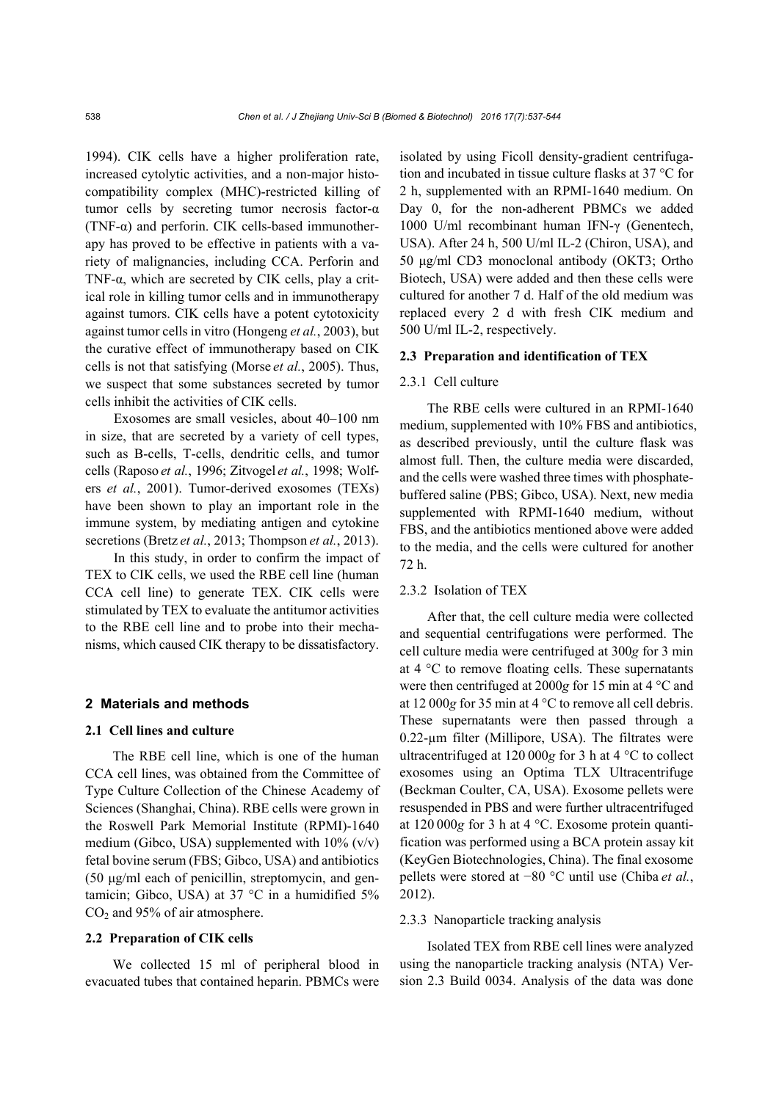1994). CIK cells have a higher proliferation rate, increased cytolytic activities, and a non-major histocompatibility complex (MHC)-restricted killing of tumor cells by secreting tumor necrosis factor-α (TNF- $\alpha$ ) and perforin. CIK cells-based immunotherapy has proved to be effective in patients with a variety of malignancies, including CCA. Perforin and TNF-α, which are secreted by CIK cells, play a critical role in killing tumor cells and in immunotherapy against tumors. CIK cells have a potent cytotoxicity against tumor cells in vitro (Hongeng *et al.*, 2003), but the curative effect of immunotherapy based on CIK cells is not that satisfying (Morse *et al.*, 2005). Thus, we suspect that some substances secreted by tumor cells inhibit the activities of CIK cells.

Exosomes are small vesicles, about 40–100 nm in size, that are secreted by a variety of cell types, such as B-cells, T-cells, dendritic cells, and tumor cells (Raposo *et al.*, 1996; Zitvogel *et al.*, 1998; Wolfers *et al.*, 2001). Tumor-derived exosomes (TEXs) have been shown to play an important role in the immune system, by mediating antigen and cytokine secretions (Bretz *et al.*, 2013; Thompson *et al.*, 2013).

In this study, in order to confirm the impact of TEX to CIK cells, we used the RBE cell line (human CCA cell line) to generate TEX. CIK cells were stimulated by TEX to evaluate the antitumor activities to the RBE cell line and to probe into their mechanisms, which caused CIK therapy to be dissatisfactory.

#### **2 Materials and methods**

#### **2.1 Cell lines and culture**

The RBE cell line, which is one of the human CCA cell lines, was obtained from the Committee of Type Culture Collection of the Chinese Academy of Sciences (Shanghai, China). RBE cells were grown in the Roswell Park Memorial Institute (RPMI)-1640 medium (Gibco, USA) supplemented with  $10\%$  (v/v) fetal bovine serum (FBS; Gibco, USA) and antibiotics (50 μg/ml each of penicillin, streptomycin, and gentamicin; Gibco, USA) at 37 °C in a humidified 5%  $CO<sub>2</sub>$  and 95% of air atmosphere.

## **2.2 Preparation of CIK cells**

We collected 15 ml of peripheral blood in evacuated tubes that contained heparin. PBMCs were isolated by using Ficoll density-gradient centrifugation and incubated in tissue culture flasks at 37 °C for 2 h, supplemented with an RPMI-1640 medium. On Day 0, for the non-adherent PBMCs we added 1000 U/ml recombinant human IFN-γ (Genentech, USA). After 24 h, 500 U/ml IL-2 (Chiron, USA), and 50 μg/ml CD3 monoclonal antibody (OKT3; Ortho Biotech, USA) were added and then these cells were cultured for another 7 d. Half of the old medium was replaced every 2 d with fresh CIK medium and 500 U/ml IL-2, respectively.

## **2.3 Preparation and identification of TEX**

## 2.3.1 Cell culture

The RBE cells were cultured in an RPMI-1640 medium, supplemented with 10% FBS and antibiotics, as described previously, until the culture flask was almost full. Then, the culture media were discarded, and the cells were washed three times with phosphatebuffered saline (PBS; Gibco, USA). Next, new media supplemented with RPMI-1640 medium, without FBS, and the antibiotics mentioned above were added to the media, and the cells were cultured for another 72 h.

#### 2.3.2 Isolation of TEX

After that, the cell culture media were collected and sequential centrifugations were performed. The cell culture media were centrifuged at 300*g* for 3 min at 4 °C to remove floating cells. These supernatants were then centrifuged at 2000*g* for 15 min at 4 °C and at 12 000*g* for 35 min at 4 °C to remove all cell debris. These supernatants were then passed through a 0.22-µm filter (Millipore, USA). The filtrates were ultracentrifuged at 120 000*g* for 3 h at 4 °C to collect exosomes using an Optima TLX Ultracentrifuge (Beckman Coulter, CA, USA). Exosome pellets were resuspended in PBS and were further ultracentrifuged at 120 000*g* for 3 h at 4 °C. Exosome protein quantification was performed using a BCA protein assay kit (KeyGen Biotechnologies, China). The final exosome pellets were stored at −80 °C until use (Chiba *et al.*, 2012).

#### 2.3.3 Nanoparticle tracking analysis

Isolated TEX from RBE cell lines were analyzed using the nanoparticle tracking analysis (NTA) Version 2.3 Build 0034. Analysis of the data was done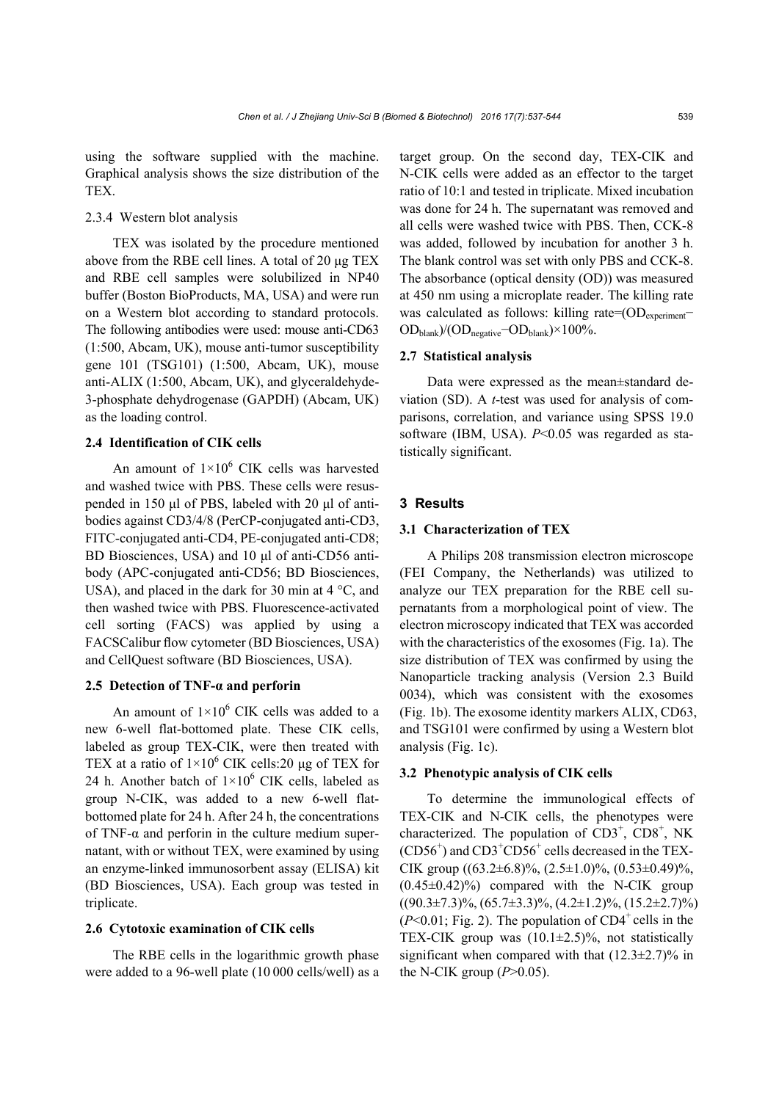using the software supplied with the machine. Graphical analysis shows the size distribution of the TEX.

## 2.3.4 Western blot analysis

TEX was isolated by the procedure mentioned above from the RBE cell lines. A total of 20 μg TEX and RBE cell samples were solubilized in NP40 buffer (Boston BioProducts, MA, USA) and were run on a Western blot according to standard protocols. The following antibodies were used: mouse anti-CD63 (1:500, Abcam, UK), mouse anti-tumor susceptibility gene 101 (TSG101) (1:500, Abcam, UK), mouse anti-ALIX (1:500, Abcam, UK), and glyceraldehyde-3-phosphate dehydrogenase (GAPDH) (Abcam, UK) as the loading control.

## **2.4 Identification of CIK cells**

An amount of  $1 \times 10^6$  CIK cells was harvested and washed twice with PBS. These cells were resuspended in 150 μl of PBS, labeled with 20 μl of antibodies against CD3/4/8 (PerCP-conjugated anti-CD3, FITC-conjugated anti-CD4, PE-conjugated anti-CD8; BD Biosciences, USA) and 10 μl of anti-CD56 antibody (APC-conjugated anti-CD56; BD Biosciences, USA), and placed in the dark for 30 min at  $4^{\circ}$ C, and then washed twice with PBS. Fluorescence-activated cell sorting (FACS) was applied by using a FACSCalibur flow cytometer (BD Biosciences, USA) and CellQuest software (BD Biosciences, USA).

## **2.5 Detection of TNF-α and perforin**

An amount of  $1\times10^6$  CIK cells was added to a new 6-well flat-bottomed plate. These CIK cells, labeled as group TEX-CIK, were then treated with TEX at a ratio of  $1 \times 10^6$  CIK cells:20 µg of TEX for 24 h. Another batch of  $1 \times 10^6$  CIK cells, labeled as group N-CIK, was added to a new 6-well flatbottomed plate for 24 h. After 24 h, the concentrations of TNF-α and perforin in the culture medium supernatant, with or without TEX, were examined by using an enzyme-linked immunosorbent assay (ELISA) kit (BD Biosciences, USA). Each group was tested in triplicate.

## **2.6 Cytotoxic examination of CIK cells**

The RBE cells in the logarithmic growth phase were added to a 96-well plate (10 000 cells/well) as a target group. On the second day, TEX-CIK and N-CIK cells were added as an effector to the target ratio of 10:1 and tested in triplicate. Mixed incubation was done for 24 h. The supernatant was removed and all cells were washed twice with PBS. Then, CCK-8 was added, followed by incubation for another 3 h. The blank control was set with only PBS and CCK-8. The absorbance (optical density (OD)) was measured at 450 nm using a microplate reader. The killing rate was calculated as follows: killing rate=(OD<sub>experiment</sub>− ODblank)/(ODnegative−ODblank)×100%.

## **2.7 Statistical analysis**

Data were expressed as the mean±standard deviation (SD). A *t*-test was used for analysis of comparisons, correlation, and variance using SPSS 19.0 software (IBM, USA). *P*<0.05 was regarded as statistically significant.

#### **3 Results**

## **3.1 Characterization of TEX**

A Philips 208 transmission electron microscope (FEI Company, the Netherlands) was utilized to analyze our TEX preparation for the RBE cell supernatants from a morphological point of view. The electron microscopy indicated that TEX was accorded with the characteristics of the exosomes (Fig. 1a). The size distribution of TEX was confirmed by using the Nanoparticle tracking analysis (Version 2.3 Build 0034), which was consistent with the exosomes (Fig. 1b). The exosome identity markers ALIX, CD63, and TSG101 were confirmed by using a Western blot analysis (Fig. 1c).

#### **3.2 Phenotypic analysis of CIK cells**

To determine the immunological effects of TEX-CIK and N-CIK cells, the phenotypes were characterized. The population of  $CD3^+$ ,  $CD8^+$ , NK (CD56<sup>+</sup>) and CD3<sup>+</sup>CD56<sup>+</sup> cells decreased in the TEX-CIK group  $((63.2\pm6.8)\%, (2.5\pm1.0)\%, (0.53\pm0.49)\%,$  $(0.45\pm0.42)\%$  compared with the N-CIK group  $((90.3\pm7.3)\%, (65.7\pm3.3)\%, (4.2\pm1.2)\%, (15.2\pm2.7)\%$  $(P<0.01$ ; Fig. 2). The population of CD4<sup>+</sup> cells in the TEX-CIK group was  $(10.1\pm 2.5)\%$ , not statistically significant when compared with that  $(12.3\pm2.7)\%$  in the N-CIK group  $(P>0.05)$ .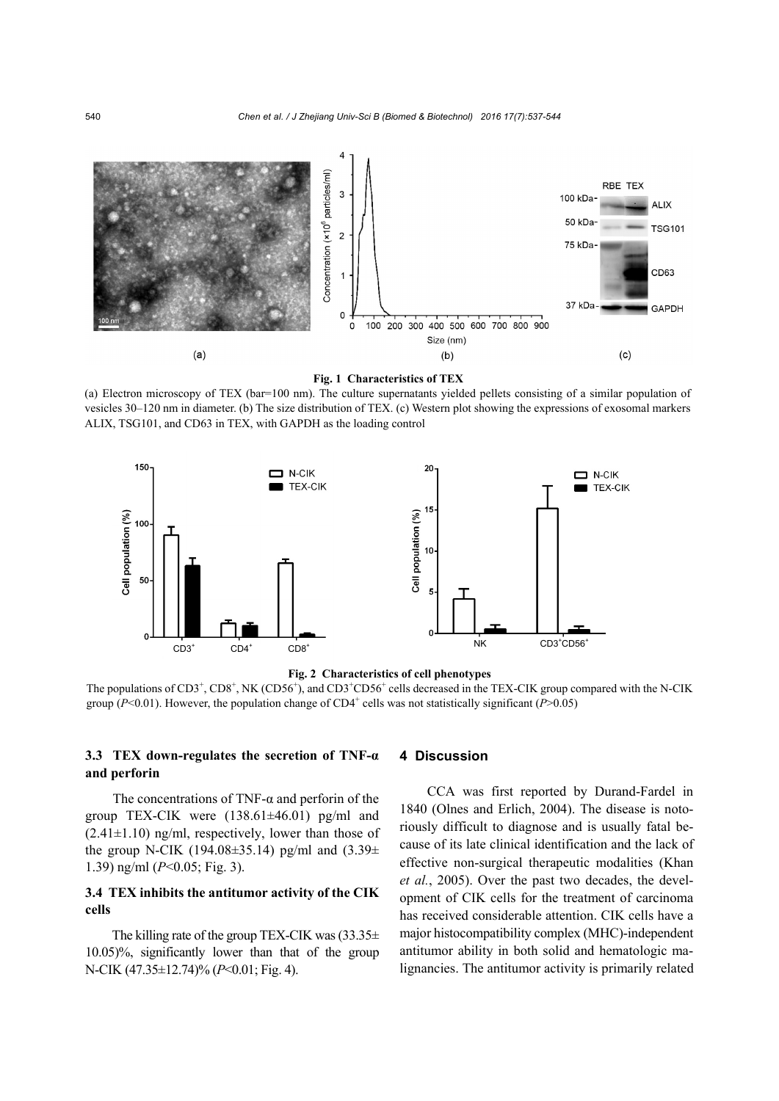



(a) Electron microscopy of TEX (bar=100 nm). The culture supernatants yielded pellets consisting of a similar population of vesicles 30–120 nm in diameter. (b) The size distribution of TEX. (c) Western plot showing the expressions of exosomal markers ALIX, TSG101, and CD63 in TEX, with GAPDH as the loading control





The populations of CD3<sup>+</sup>, CD8<sup>+</sup>, NK (CD56<sup>+</sup>), and CD3<sup>+</sup>CD56<sup>+</sup> cells decreased in the TEX-CIK group compared with the N-CIK group ( $P < 0.01$ ). However, the population change of CD4<sup>+</sup> cells was not statistically significant ( $P > 0.05$ )

## **3.3 TEX down-regulates the secretion of TNF-α and perforin**

The concentrations of TNF- $\alpha$  and perform of the group TEX-CIK were (138.61±46.01) pg/ml and  $(2.41\pm1.10)$  ng/ml, respectively, lower than those of the group N-CIK (194.08 $\pm$ 35.14) pg/ml and (3.39 $\pm$ 1.39) ng/ml (*P*<0.05; Fig. 3).

## **3.4 TEX inhibits the antitumor activity of the CIK cells**

The killing rate of the group TEX-CIK was  $(33.35\pm$ 10.05)%, significantly lower than that of the group N-CIK (47.35±12.74)% (*P*<0.01; Fig. 4).

### **4 Discussion**

CCA was first reported by Durand-Fardel in 1840 (Olnes and Erlich, 2004). The disease is notoriously difficult to diagnose and is usually fatal because of its late clinical identification and the lack of effective non-surgical therapeutic modalities (Khan *et al.*, 2005). Over the past two decades, the development of CIK cells for the treatment of carcinoma has received considerable attention. CIK cells have a major histocompatibility complex (MHC)-independent antitumor ability in both solid and hematologic malignancies. The antitumor activity is primarily related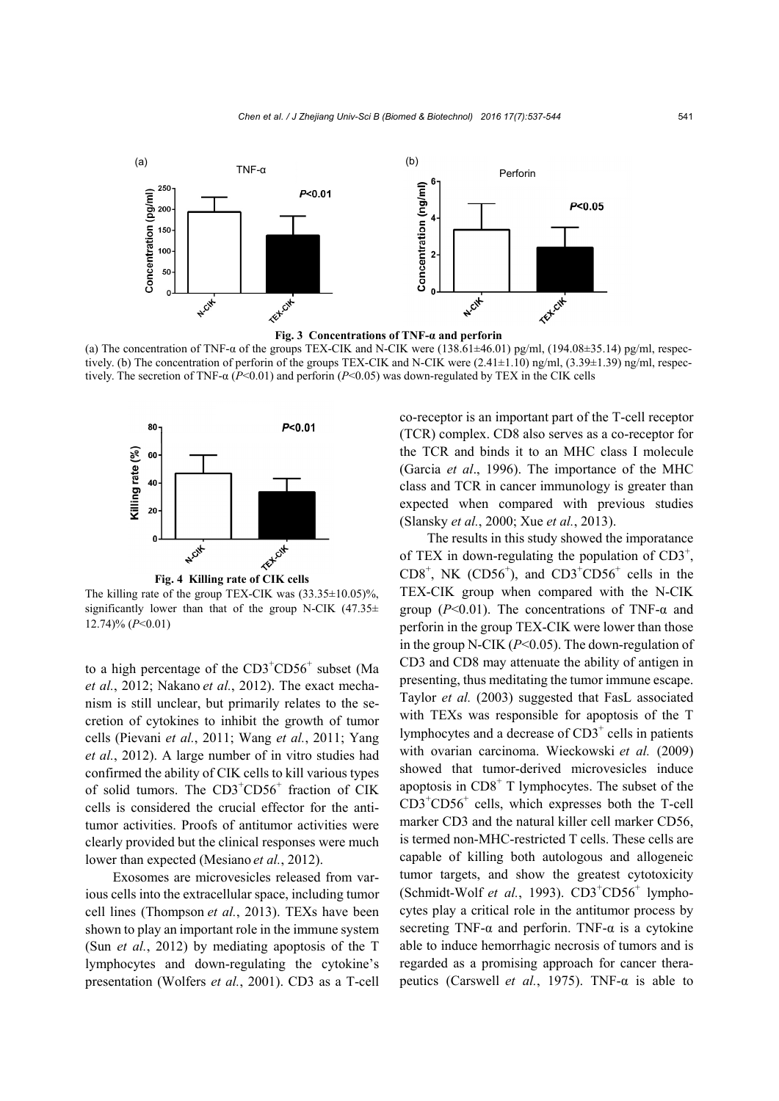

(a) The concentration of TNF- $\alpha$  of the groups TEX-CIK and N-CIK were (138.61±46.01) pg/ml, (194.08±35.14) pg/ml, respectively. (b) The concentration of perforin of the groups TEX-CIK and N-CIK were (2.41±1.10) ng/ml, (3.39±1.39) ng/ml, respectively. The secretion of TNF-α (*P*<0.01) and perforin (*P*<0.05) was down-regulated by TEX in the CIK cells



The killing rate of the group TEX-CIK was  $(33.35 \pm 10.05)\%$ , significantly lower than that of the group N-CIK  $(47.35\pm$ 12.74)% (*P*<0.01)

to a high percentage of the  $CD3<sup>+</sup>CD56<sup>+</sup>$  subset (Ma *et al.*, 2012; Nakano *et al.*, 2012). The exact mechanism is still unclear, but primarily relates to the secretion of cytokines to inhibit the growth of tumor cells (Pievani *et al.*, 2011; Wang *et al.*, 2011; Yang *et al.*, 2012). A large number of in vitro studies had confirmed the ability of CIK cells to kill various types of solid tumors. The CD3<sup>+</sup>CD56<sup>+</sup> fraction of CIK cells is considered the crucial effector for the antitumor activities. Proofs of antitumor activities were clearly provided but the clinical responses were much lower than expected (Mesiano *et al.*, 2012).

Exosomes are microvesicles released from various cells into the extracellular space, including tumor cell lines (Thompson *et al.*, 2013). TEXs have been shown to play an important role in the immune system (Sun *et al.*, 2012) by mediating apoptosis of the T lymphocytes and down-regulating the cytokine's presentation (Wolfers *et al.*, 2001). CD3 as a T-cell co-receptor is an important part of the T-cell receptor (TCR) complex. CD8 also serves as a co-receptor for the TCR and binds it to an MHC class I molecule (Garcia *et al*., 1996). The importance of the MHC class and TCR in cancer immunology is greater than expected when compared with previous studies (Slansky *et al.*, 2000; Xue *et al.*, 2013).

The results in this study showed the imporatance of TEX in down-regulating the population of  $CD3^+$ ,  $CDS<sup>+</sup>$ , NK  $(CDS6<sup>+</sup>)$ , and  $CD3<sup>+</sup>CD56<sup>+</sup>$  cells in the TEX-CIK group when compared with the N-CIK group (*P*<0.01). The concentrations of TNF-α and perforin in the group TEX-CIK were lower than those in the group N-CIK (*P*<0.05). The down-regulation of CD3 and CD8 may attenuate the ability of antigen in presenting, thus meditating the tumor immune escape. Taylor *et al.* (2003) suggested that FasL associated with TEXs was responsible for apoptosis of the T lymphocytes and a decrease of  $CD3<sup>+</sup>$  cells in patients with ovarian carcinoma. Wieckowski *et al.* (2009) showed that tumor-derived microvesicles induce apoptosis in  $CDS<sup>+</sup> T$  lymphocytes. The subset of the CD3<sup>+</sup> CD56<sup>+</sup> cells, which expresses both the T-cell marker CD3 and the natural killer cell marker CD56, is termed non-MHC-restricted T cells. These cells are capable of killing both autologous and allogeneic tumor targets, and show the greatest cytotoxicity (Schmidt-Wolf et al., 1993). CD3<sup>+</sup>CD56<sup>+</sup> lymphocytes play a critical role in the antitumor process by secreting TNF- $\alpha$  and perforin. TNF- $\alpha$  is a cytokine able to induce hemorrhagic necrosis of tumors and is regarded as a promising approach for cancer therapeutics (Carswell *et al.*, 1975). TNF-α is able to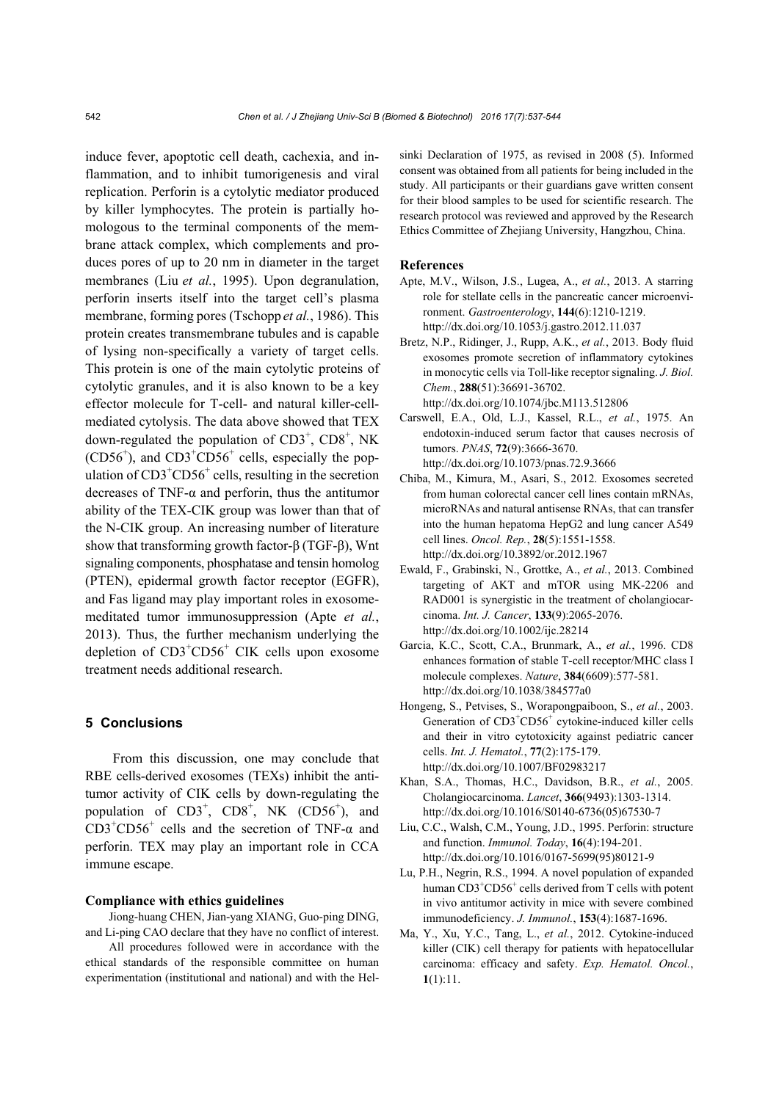induce fever, apoptotic cell death, cachexia, and inflammation, and to inhibit tumorigenesis and viral replication. Perforin is a cytolytic mediator produced by killer lymphocytes. The protein is partially homologous to the terminal components of the membrane attack complex, which complements and produces pores of up to 20 nm in diameter in the target membranes (Liu *et al.*, 1995). Upon degranulation, perforin inserts itself into the target cell's plasma membrane, forming pores (Tschopp *et al.*, 1986). This protein creates transmembrane tubules and is capable of lysing non-specifically a variety of target cells. This protein is one of the main cytolytic proteins of cytolytic granules, and it is also known to be a key effector molecule for T-cell- and natural killer-cellmediated cytolysis. The data above showed that TEX down-regulated the population of  $CD3^+$ ,  $CD8^+$ , NK  $(CD56<sup>+</sup>)$ , and  $CD3<sup>+</sup>CD56<sup>+</sup>$  cells, especially the population of  $CD3^+CD56^+$  cells, resulting in the secretion decreases of TNF-α and perforin, thus the antitumor ability of the TEX-CIK group was lower than that of the N-CIK group. An increasing number of literature show that transforming growth factor-β (TGF-β), Wnt signaling components, phosphatase and tensin homolog (PTEN), epidermal growth factor receptor (EGFR), and Fas ligand may play important roles in exosomemeditated tumor immunosuppression (Apte *et al.*, 2013). Thus, the further mechanism underlying the depletion of  $CD3<sup>+</sup>CD56<sup>+</sup>$  CIK cells upon exosome treatment needs additional research.

## **5 Conclusions**

From this discussion, one may conclude that RBE cells-derived exosomes (TEXs) inhibit the antitumor activity of CIK cells by down-regulating the population of  $CD3^+$ ,  $CD8^+$ , NK  $(CD56^+)$ , and  $CD3^+CD56^+$  cells and the secretion of TNF- $\alpha$  and perforin. TEX may play an important role in CCA immune escape.

## **Compliance with ethics guidelines**

Jiong-huang CHEN, Jian-yang XIANG, Guo-ping DING, and Li-ping CAO declare that they have no conflict of interest.

All procedures followed were in accordance with the ethical standards of the responsible committee on human experimentation (institutional and national) and with the Helsinki Declaration of 1975, as revised in 2008 (5). Informed consent was obtained from all patients for being included in the study. All participants or their guardians gave written consent for their blood samples to be used for scientific research. The research protocol was reviewed and approved by the Research Ethics Committee of Zhejiang University, Hangzhou, China.

#### **References**

- Apte, M.V., Wilson, J.S., Lugea, A., *et al.*, 2013. A starring role for stellate cells in the pancreatic cancer microenvironment. *Gastroenterology*, **144**(6):1210-1219. http://dx.doi.org/10.1053/j.gastro.2012.11.037
- Bretz, N.P., Ridinger, J., Rupp, A.K., *et al.*, 2013. Body fluid exosomes promote secretion of inflammatory cytokines in monocytic cells via Toll-like receptor signaling. *J. Biol. Chem.*, **288**(51):36691-36702. http://dx.doi.org/10.1074/jbc.M113.512806
- Carswell, E.A., Old, L.J., Kassel, R.L., *et al.*, 1975. An endotoxin-induced serum factor that causes necrosis of tumors. *PNAS*, **72**(9):3666-3670. http://dx.doi.org/10.1073/pnas.72.9.3666
- Chiba, M., Kimura, M., Asari, S., 2012. Exosomes secreted from human colorectal cancer cell lines contain mRNAs, microRNAs and natural antisense RNAs, that can transfer into the human hepatoma HepG2 and lung cancer A549 cell lines. *Oncol. Rep.*, **28**(5):1551-1558. http://dx.doi.org/10.3892/or.2012.1967
- Ewald, F., Grabinski, N., Grottke, A., *et al.*, 2013. Combined targeting of AKT and mTOR using MK-2206 and RAD001 is synergistic in the treatment of cholangiocarcinoma. *Int. J. Cancer*, **133**(9):2065-2076. http://dx.doi.org/10.1002/ijc.28214
- Garcia, K.C., Scott, C.A., Brunmark, A., *et al.*, 1996. CD8 enhances formation of stable T-cell receptor/MHC class I molecule complexes. *Nature*, **384**(6609):577-581. http://dx.doi.org/10.1038/384577a0
- Hongeng, S., Petvises, S., Worapongpaiboon, S., *et al.*, 2003. Generation of CD3<sup>+</sup>CD56<sup>+</sup> cytokine-induced killer cells and their in vitro cytotoxicity against pediatric cancer cells. *Int. J. Hematol.*, **77**(2):175-179. http://dx.doi.org/10.1007/BF02983217
- Khan, S.A., Thomas, H.C., Davidson, B.R., *et al.*, 2005. Cholangiocarcinoma. *Lancet*, **366**(9493):1303-1314. http://dx.doi.org/10.1016/S0140-6736(05)67530-7
- Liu, C.C., Walsh, C.M., Young, J.D., 1995. Perforin: structure and function. *Immunol. Today*, **16**(4):194-201. http://dx.doi.org/10.1016/0167-5699(95)80121-9
- Lu, P.H., Negrin, R.S., 1994. A novel population of expanded human CD3<sup>+</sup>CD56<sup>+</sup> cells derived from T cells with potent in vivo antitumor activity in mice with severe combined immunodeficiency. *J. Immunol.*, **153**(4):1687-1696.
- Ma, Y., Xu, Y.C., Tang, L., *et al.*, 2012. Cytokine-induced killer (CIK) cell therapy for patients with hepatocellular carcinoma: efficacy and safety. *Exp. Hematol. Oncol.*, **1**(1):11.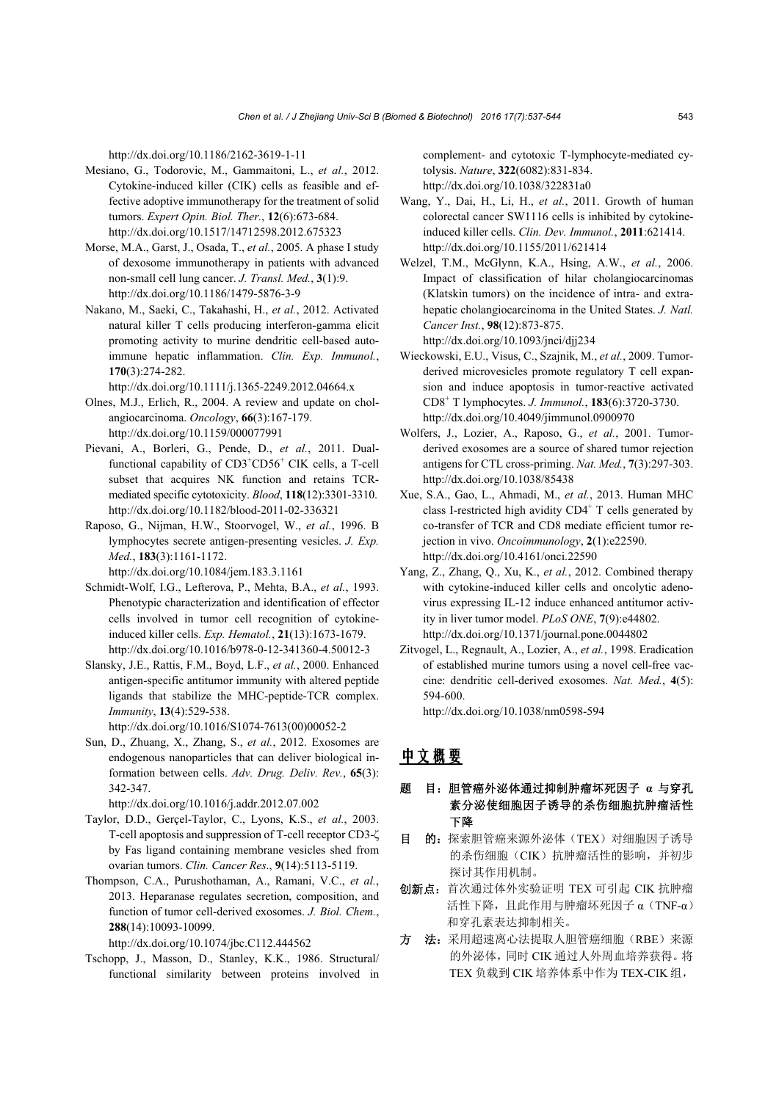http://dx.doi.org/10.1186/2162-3619-1-11

- Mesiano, G., Todorovic, M., Gammaitoni, L., *et al.*, 2012. Cytokine-induced killer (CIK) cells as feasible and effective adoptive immunotherapy for the treatment of solid tumors. *Expert Opin. Biol. Ther.*, **12**(6):673-684. http://dx.doi.org/10.1517/14712598.2012.675323
- Morse, M.A., Garst, J., Osada, T., *et al.*, 2005. A phase I study of dexosome immunotherapy in patients with advanced non-small cell lung cancer. *J. Transl. Med.*, **3**(1):9. http://dx.doi.org/10.1186/1479-5876-3-9
- Nakano, M., Saeki, C., Takahashi, H., *et al.*, 2012. Activated natural killer T cells producing interferon-gamma elicit promoting activity to murine dendritic cell-based autoimmune hepatic inflammation. *Clin. Exp. Immunol.*, **170**(3):274-282.

http://dx.doi.org/10.1111/j.1365-2249.2012.04664.x

- Olnes, M.J., Erlich, R., 2004. A review and update on cholangiocarcinoma. *Oncology*, **66**(3):167-179. http://dx.doi.org/10.1159/000077991
- Pievani, A., Borleri, G., Pende, D., *et al.*, 2011. Dualfunctional capability of CD3<sup>+</sup>CD56<sup>+</sup> CIK cells, a T-cell subset that acquires NK function and retains TCRmediated specific cytotoxicity. *Blood*, **118**(12):3301-3310. http://dx.doi.org/10.1182/blood-2011-02-336321
- Raposo, G., Nijman, H.W., Stoorvogel, W., *et al.*, 1996. B lymphocytes secrete antigen-presenting vesicles. *J. Exp. Med.*, **183**(3):1161-1172.

http://dx.doi.org/10.1084/jem.183.3.1161

- Schmidt-Wolf, I.G., Lefterova, P., Mehta, B.A., *et al.*, 1993. Phenotypic characterization and identification of effector cells involved in tumor cell recognition of cytokineinduced killer cells. *Exp. Hematol.*, **21**(13):1673-1679. http://dx.doi.org/10.1016/b978-0-12-341360-4.50012-3
- Slansky, J.E., Rattis, F.M., Boyd, L.F., *et al.*, 2000. Enhanced antigen-specific antitumor immunity with altered peptide ligands that stabilize the MHC-peptide-TCR complex. *Immunity*, **13**(4):529-538. http://dx.doi.org/10.1016/S1074-7613(00)00052-2
- Sun, D., Zhuang, X., Zhang, S., *et al.*, 2012. Exosomes are endogenous nanoparticles that can deliver biological information between cells. *Adv. Drug. Deliv. Rev.*, **65**(3): 342-347.

http://dx.doi.org/10.1016/j.addr.2012.07.002

- Taylor, D.D., Gerçel-Taylor, C., Lyons, K.S., *et al.*, 2003. T-cell apoptosis and suppression of T-cell receptor CD3-ζ by Fas ligand containing membrane vesicles shed from ovarian tumors. *Clin. Cancer Res*., **9**(14):5113-5119.
- Thompson, C.A., Purushothaman, A., Ramani, V.C., *et al.*, 2013. Heparanase regulates secretion, composition, and function of tumor cell-derived exosomes. *J. Biol. Chem.*, **288**(14):10093-10099.

http://dx.doi.org/10.1074/jbc.C112.444562

Tschopp, J., Masson, D., Stanley, K.K., 1986. Structural/ functional similarity between proteins involved in complement- and cytotoxic T-lymphocyte-mediated cytolysis. *Nature*, **322**(6082):831-834. http://dx.doi.org/10.1038/322831a0

- Wang, Y., Dai, H., Li, H., *et al.*, 2011. Growth of human colorectal cancer SW1116 cells is inhibited by cytokineinduced killer cells. *Clin. Dev. Immunol.*, **2011**:621414. http://dx.doi.org/10.1155/2011/621414
- Welzel, T.M., McGlynn, K.A., Hsing, A.W., *et al.*, 2006. Impact of classification of hilar cholangiocarcinomas (Klatskin tumors) on the incidence of intra- and extrahepatic cholangiocarcinoma in the United States. *J. Natl. Cancer Inst.*, **98**(12):873-875.

http://dx.doi.org/10.1093/jnci/djj234

- Wieckowski, E.U., Visus, C., Szajnik, M., *et al.*, 2009. Tumorderived microvesicles promote regulatory T cell expansion and induce apoptosis in tumor-reactive activated CD8<sup>+</sup> T lymphocytes. *J. Immunol.*, **183**(6):3720-3730. http://dx.doi.org/10.4049/jimmunol.0900970
- Wolfers, J., Lozier, A., Raposo, G., *et al.*, 2001. Tumorderived exosomes are a source of shared tumor rejection antigens for CTL cross-priming. *Nat. Med.*, **7**(3):297-303. http://dx.doi.org/10.1038/85438
- Xue, S.A., Gao, L., Ahmadi, M., *et al.*, 2013. Human MHC class I-restricted high avidity  $CD4^+$  T cells generated by co-transfer of TCR and CD8 mediate efficient tumor rejection in vivo. *Oncoimmunology*, **2**(1):e22590. http://dx.doi.org/10.4161/onci.22590
- Yang, Z., Zhang, Q., Xu, K., *et al.*, 2012. Combined therapy with cytokine-induced killer cells and oncolytic adenovirus expressing IL-12 induce enhanced antitumor activity in liver tumor model. *PLoS ONE*, **7**(9):e44802. http://dx.doi.org/10.1371/journal.pone.0044802
- Zitvogel, L., Regnault, A., Lozier, A., *et al.*, 1998. Eradication of established murine tumors using a novel cell-free vaccine: dendritic cell-derived exosomes. *Nat. Med.*, **4**(5): 594-600.

http://dx.doi.org/10.1038/nm0598-594

## 中文概要

- 题 目:胆管癌外泌体通过抑制肿瘤坏死因子 **α** 与穿孔 素分泌使细胞因子诱导的杀伤细胞抗肿瘤活性 下降
- 目 的: 探索胆管癌来源外泌体(TEX)对细胞因子诱导 的杀伤细胞(CIK)抗肿瘤活性的影响,并初步 探讨其作用机制。
- 创新点:首次通过体外实验证明 TEX 可引起 CIK 抗肿瘤 活性下降,且此作用与肿瘤坏死因子 α(TNF-α) 和穿孔素表达抑制相关。
- 方 法: 采用超速离心法提取人胆管癌细胞(RBE)来源 的外泌体,同时 CIK 通过人外周血培养获得。将 TEX 负载到 CIK 培养体系中作为 TEX-CIK 组,